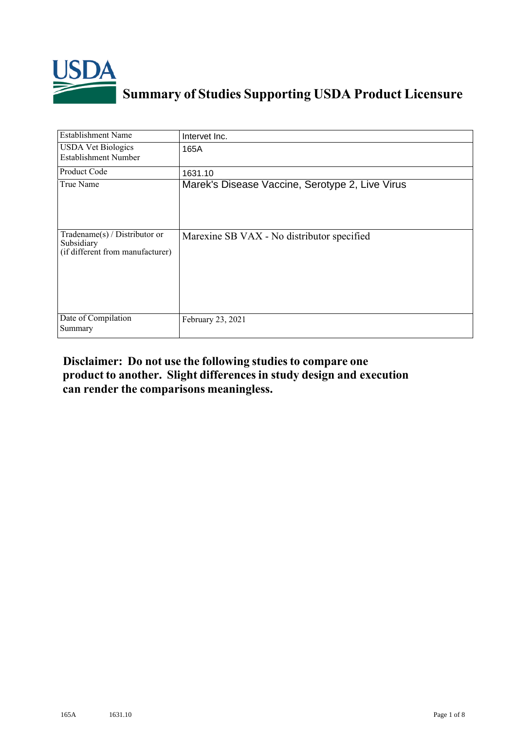

## **Summary of Studies Supporting USDA Product Licensure**

| <b>Establishment Name</b>                                                          | Intervet Inc.                                   |
|------------------------------------------------------------------------------------|-------------------------------------------------|
| <b>USDA Vet Biologics</b><br><b>Establishment Number</b>                           | 165A                                            |
| Product Code                                                                       | 1631.10                                         |
| True Name                                                                          | Marek's Disease Vaccine, Serotype 2, Live Virus |
| Tradename $(s)$ / Distributor or<br>Subsidiary<br>(if different from manufacturer) | Marexine SB VAX - No distributor specified      |
| Date of Compilation<br>Summary                                                     | February 23, 2021                               |

## **Disclaimer: Do not use the following studiesto compare one product to another. Slight differencesin study design and execution can render the comparisons meaningless.**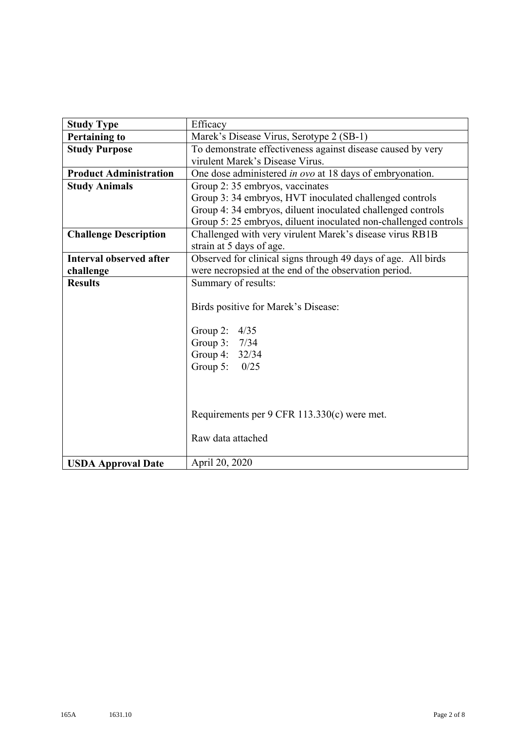| <b>Study Type</b>              | Efficacy                                                        |
|--------------------------------|-----------------------------------------------------------------|
| <b>Pertaining to</b>           | Marek's Disease Virus, Serotype 2 (SB-1)                        |
| <b>Study Purpose</b>           | To demonstrate effectiveness against disease caused by very     |
|                                | virulent Marek's Disease Virus.                                 |
| <b>Product Administration</b>  | One dose administered in ovo at 18 days of embryonation.        |
| <b>Study Animals</b>           | Group 2: 35 embryos, vaccinates                                 |
|                                | Group 3: 34 embryos, HVT inoculated challenged controls         |
|                                | Group 4: 34 embryos, diluent inoculated challenged controls     |
|                                | Group 5: 25 embryos, diluent inoculated non-challenged controls |
| <b>Challenge Description</b>   | Challenged with very virulent Marek's disease virus RB1B        |
|                                | strain at 5 days of age.                                        |
| <b>Interval observed after</b> | Observed for clinical signs through 49 days of age. All birds   |
| challenge                      | were necropsied at the end of the observation period.           |
| <b>Results</b>                 | Summary of results:                                             |
|                                |                                                                 |
|                                | Birds positive for Marek's Disease:                             |
|                                |                                                                 |
|                                | Group 2:<br>4/35                                                |
|                                | Group 3:<br>7/34                                                |
|                                | Group 4: 32/34                                                  |
|                                | Group 5:<br>0/25                                                |
|                                |                                                                 |
|                                |                                                                 |
|                                |                                                                 |
|                                | Requirements per 9 CFR 113.330(c) were met.                     |
|                                |                                                                 |
|                                | Raw data attached                                               |
|                                |                                                                 |
| <b>USDA Approval Date</b>      | April 20, 2020                                                  |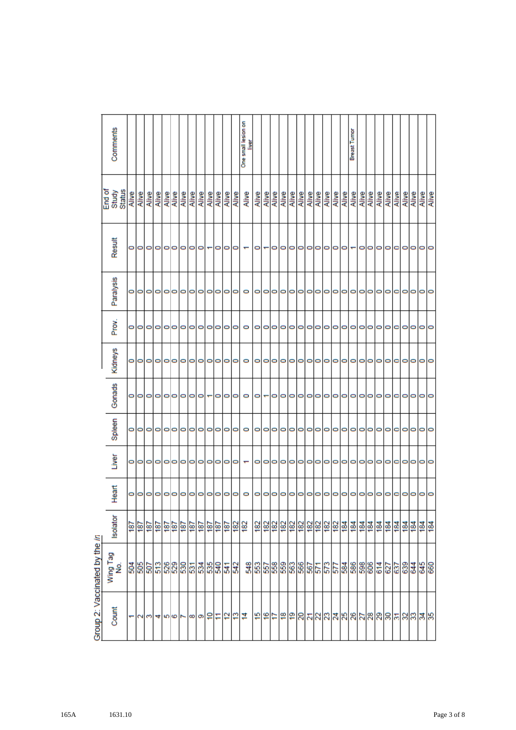|                      | Group 2: Vaccinated by the in                                                                 |                            |              |         |         |        |         |         |           |                         |                                  |                              |
|----------------------|-----------------------------------------------------------------------------------------------|----------------------------|--------------|---------|---------|--------|---------|---------|-----------|-------------------------|----------------------------------|------------------------------|
| Count                | Wing Tag<br>No.                                                                               | Isolator                   | Heart        | Liver   | Spleen  | Gonads | Kidneys | Prov.   | Paralysis | Result                  | <b>Status</b><br>End of<br>Study | Comments                     |
|                      |                                                                                               |                            |              |         | 0       |        | 0       | 0       |           |                         | Alive                            |                              |
|                      |                                                                                               |                            | 00           | 00      | $\circ$ | 00     | $\circ$ | $\circ$ | 00        | $\circ$                 | Alive                            |                              |
|                      |                                                                                               |                            |              | o       | 0       | 0      | o       | 0       | O         |                         | Alive                            |                              |
|                      |                                                                                               |                            |              | $\circ$ | $\circ$ | O      | $\circ$ | O       | O         |                         |                                  |                              |
|                      |                                                                                               |                            |              | $\circ$ | 0       | 0      |         | 0       | 0         | $\circ$ $\circ$ $\circ$ | Alive<br>Alive                   |                              |
|                      |                                                                                               |                            |              | 0       | 0       |        | 0       | 0       | 0         |                         | Alive                            |                              |
|                      | \$ \$ \$ \$ \$ \$ \$ \$ \$ \$ \$ \$                                                           |                            | 999999999999 | 0       | 0       |        | 0       | 0       | 0         |                         | Alive                            |                              |
|                      |                                                                                               |                            |              | O       | 0       |        |         | 0       | 0         | 000                     | Alive                            |                              |
|                      |                                                                                               |                            |              | $\circ$ | 0       |        | 00      | 0       | 0         |                         | Alive                            |                              |
|                      |                                                                                               |                            |              | O       | 0       |        | 0       | 0       | 0         |                         |                                  |                              |
|                      |                                                                                               |                            |              | $\circ$ | $\circ$ | 0      | $\circ$ | $\circ$ | 0         | $\circ$                 |                                  |                              |
|                      |                                                                                               |                            |              | 0       | 0       | 0      | 0       | 0       | 0         |                         | <b>Alive</b><br>Alive<br>Alive   |                              |
|                      |                                                                                               |                            |              | 0       | 0       | 0      | O       | 0       | 0         | O                       |                                  |                              |
| 하하하하하하하하하하하          |                                                                                               | [회회회회회회회회회회회회회             | 0            |         | 0       | 0      | 0       | 0       | O         |                         | Alive                            | One small lesion on<br>liver |
|                      | <u>ន្ន្ទ្រីន្ទ្រីន្ទ្រីន្ទ្រីន្ទ្រីន្ទ្រីន្ទ្រីន្ទ្រីន្ទ្រីន្ទ្រីន្ទ្រីន្ទ្រីន្ទ្រីន្ទ្រី</u> |                            |              | 0       | 0       | 0      | 0       | 0       | 0         | 0                       | Alive                            |                              |
|                      |                                                                                               |                            | 000000000000 | O       | 0       |        |         | 0       | 0         |                         |                                  |                              |
|                      |                                                                                               |                            |              | 0       | 0       | 0      | 000     | 0       | 0         |                         | Alize<br>Alize                   |                              |
|                      |                                                                                               |                            |              | O       | 0       | 0      |         | 0       | 0         | 000000                  |                                  |                              |
|                      |                                                                                               |                            |              | 0       | 0       | 0      | 0       | 0       | 0         |                         | Alive                            |                              |
|                      |                                                                                               |                            |              | O       | 0       | 0      | 0       | 0       | 0         |                         | Alive                            |                              |
|                      |                                                                                               |                            |              | O       | 0       | 0      | 0       | 0       | 0         |                         |                                  |                              |
|                      |                                                                                               |                            |              | $\circ$ | 0       | 0      | $\circ$ | 0       | 0         |                         | <b>Alive</b><br>Alive            |                              |
|                      |                                                                                               |                            |              | 0       | 0       | 0      | 0       | 0       | 0         | 000-                    | Alive                            |                              |
|                      |                                                                                               |                            |              | 0       | 0       | 0      | 0       | 0       | 0         |                         | Alive                            |                              |
|                      |                                                                                               |                            |              | 0       | 0       |        | o       | 0       | 0         |                         | Alive                            |                              |
|                      |                                                                                               |                            |              | O       | 0       | 0      | $\circ$ | 0       |           |                         | Alive                            | <b>Breast Tumor</b>          |
|                      |                                                                                               |                            |              | O       | 0       | 0      | O       | 0       | 0         |                         | Alive                            |                              |
|                      |                                                                                               |                            |              | 0       | 0       | 0      | $\circ$ | 0       | 0         |                         | Alive                            |                              |
|                      |                                                                                               |                            | O O O O      | O       | 0       | 0      | 0       | O       | 0         | 0000                    | Alive<br>Alive<br>Alive          |                              |
|                      |                                                                                               |                            |              | 0       | 0       | 0      | 0       | 0       | 0         |                         |                                  |                              |
|                      |                                                                                               |                            |              | 0       | 0       | 0      | 0       | 0       | 0         | $\circ$                 |                                  |                              |
|                      |                                                                                               |                            | 0            | O       | 0       | 0      | 0       | 0       | 0         |                         |                                  |                              |
|                      |                                                                                               |                            | $\circ$      | $\circ$ | 0       |        | 0       | 0       | 0         | $\circ$                 | <b>Alive</b>                     |                              |
| 위원부위회원의회회회원회의회회원원회회회 |                                                                                               | <u> 高高高高高高高高高量量量量量量量量量</u> | $\circ$      | 00      |         |        | 00      | 0       |           | $\circ$                 | Alive<br>Alive                   |                              |
|                      |                                                                                               |                            |              |         | 0       | 0      |         | 0       | O         |                         |                                  |                              |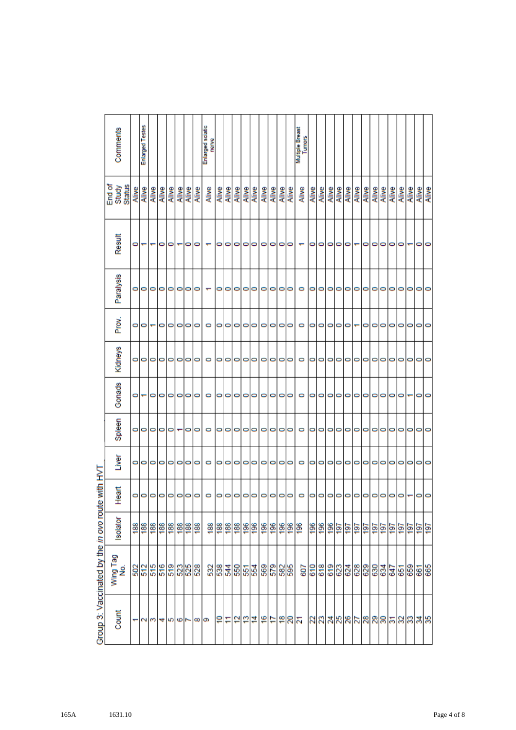|                                                      | Comments               |       | <b>Enlarged Testes</b> |                                            |         |         |       |         |         | Enlarged sciatic<br>neme   |       |       |       |       |         |           |       |                 |       | <b>Multiple Breast</b><br><b>Tunnors</b> |       |       |         |         |                |                 |         |              |         |         |         |                          |                                                    |                |
|------------------------------------------------------|------------------------|-------|------------------------|--------------------------------------------|---------|---------|-------|---------|---------|----------------------------|-------|-------|-------|-------|---------|-----------|-------|-----------------|-------|------------------------------------------|-------|-------|---------|---------|----------------|-----------------|---------|--------------|---------|---------|---------|--------------------------|----------------------------------------------------|----------------|
| End of                                               | <b>Status</b><br>Study | Alive | Alive                  | Alive                                      | Alive   | Alive   | Alive | Alive   | Alive   | Alive                      | Alive | Alive | Alive | Alive | Alive   | Alive     | Alive | Alive           | Alive | Alive                                    | Alive | Alive | Alive   | Alive   | Alive<br>Alive |                 | Alive   | <b>Alive</b> | Alive   | Alive   | Alive   | Alive                    |                                                    | Alive<br>Alive |
|                                                      | Result                 | 0     | ۳                      | ۳                                          | 00      |         |       | 0       | O       |                            | 0     | 0     | O     | 0     | O       | O         | 0     | 00              |       |                                          | 0     | 0     |         | 000     |                | ۳               | 0       |              |         |         | 0000    | ۰                        |                                                    | 00             |
|                                                      | Paralysis              | 00    |                        | $\circ$                                    | $\circ$ |         | O     | $\circ$ | $\circ$ | ٣                          | O     | O     | O     | 0     | O       | O         | O     | 00              |       | O                                        | 0     | O     | 00      |         | $\circ$        |                 | $\circ$ | 0            | $\circ$ | $\circ$ | $\circ$ | $\circ$                  | O                                                  | $\circ$        |
|                                                      | Prov.                  | O     | $\circ$                |                                            | 0       | 0       | o     | $\circ$ | O       | 0                          | 0     | O     | o     | O     | O       | O         | O     | 00              |       | O                                        | 0     | O     | 00      |         | O              |                 | 0       | O            | $\circ$ | $\circ$ | $\circ$ | 0                        | O                                                  | $\circ$        |
|                                                      | <b>Kidneys</b>         | 0     | O                      | 0                                          | O       | 0       | O     | $\circ$ | $\circ$ | 0                          | 0     | O     | O     | 0     | $\circ$ | O         | 0     | 00              |       | 0                                        | 0     | O     | 0       | $\circ$ | 0              | 0               | 0       | O            | 0       | 0       | 0       | $\circ$                  | O                                                  | $\circ$        |
|                                                      | Gonads                 | o     |                        | 0                                          | 0       | 0       | o     | 0       | 0       | 0                          | 0     | O     | o     | 0     | o       | 0         | 0     | 00              |       | 0                                        | 0     | O     | 0       | 0       | 0              | 0               | o       | 0            | o       | o       | 0       |                          | 0                                                  | 0              |
|                                                      | Spleen                 | 00    |                        | $\circ$                                    | $\circ$ | $\circ$ |       | 0       | O       | 0                          | 0     | O     | O     | 0     | O       | O         | O     | 00              |       | O                                        | 0     | O     | $\circ$ |         | O O O          |                 |         | 0            | $\circ$ | $\circ$ | $\circ$ |                          | 0                                                  | $\circ$        |
|                                                      | Liver                  | 0     | O                      | O                                          | O       | O       | O     | 0       | 0       | 0                          | 0     | 0     | O     | 0     | O       | 0         | O     | 00              |       | 0                                        | 0     | 0     | 0       | 0       | O              | 0               | 0       | O            | 0       | 0       | O       | 0                        | O                                                  | O              |
|                                                      | Heart                  | 0     | 0                      | $\circ$                                    | $\circ$ | 0       | O     | 0       | 0       | 0                          | 0     | O     | 0     | 0     | O       | O         |       | $\circ$ $\circ$ |       | 0                                        | 0     | O     |         |         | O O O          | $\circ$ $\circ$ |         |              | O O O   |         | O       | $\overline{\phantom{0}}$ | O                                                  | $\circ$        |
|                                                      | Isolator               |       |                        | 형형형형형형형                                    |         |         |       |         |         |                            |       |       |       |       |         | 열범법회회회회회회 |       |                 |       |                                          |       |       |         |         |                |                 |         |              |         |         |         |                          | 회회회회  회회회회회회회회회                                    |                |
|                                                      | Wing Tag<br>No.        |       |                        | <u>ន្ត្រី ឌូឌូឌូន្តន្ត្រី</u>              |         |         |       |         |         | 3 3 オ 3 5 5  3  3  3  3  3 |       |       |       |       |         |           |       |                 |       |                                          |       |       |         |         |                |                 |         |              |         |         |         |                          | <u> ବ୍ରାମ୍ମମାମ୍ମସ୍ରାସ୍ଥା ସ୍ରାମ୍ମ ବାଷ୍ଟ୍ରମାଣ୍</u> ଡ |                |
| oroup of additional marketing and the model with the | Count                  |       |                        | $ U \omega $ 4 $ U \omega $ 6 $ U \omega $ |         |         |       |         |         |                            |       |       |       |       |         |           |       |                 |       | 위치하하치하능  허브                              |       |       |         |         |                |                 |         |              |         |         |         |                          | 레리되리아  리테리아  리테리   리                               |                |

Group 3: Vaccinated by the in ovo mute with HVT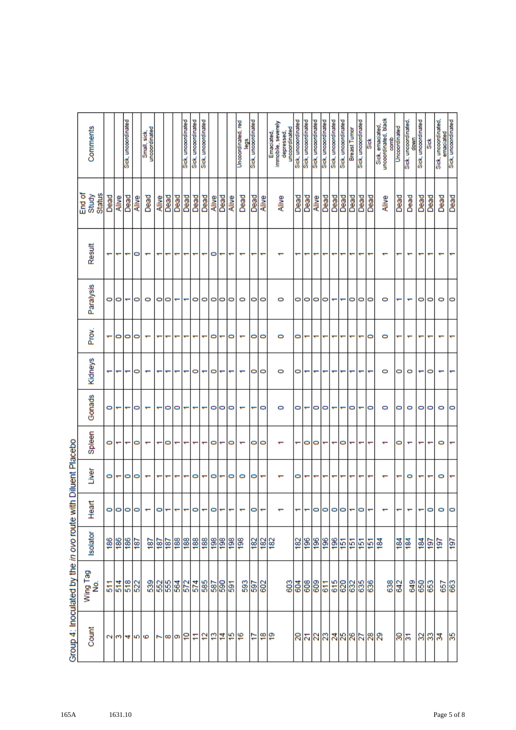|                                                              | Comments                         |      |                                 | Sick, uncoordinated      |       | uncoordinated<br>Small, sick, |       |               |                          | Sick, uncoordinated      | Sick, uncoordinated | Sick, uncoordinated |       |         |       | Uncoordinated, red<br>Ş | Sick, uncoordinated |       | immobile, severely<br><b>Emaciated</b> | uncoordinated<br>depressed, | Sick, uncoordinated | Sick, uncoordinated | Sick, uncoordinated            | Sick, uncoordinated      | Sick, uncoordinated | Sick, uncoordinated | <b>Breast Tumor</b> | Sick, uncoordinated | šē      | uncoordinated, black<br>Sick, emaciated, | comb | Uncoordinated     | Sick, uncoordinated<br>down | Sick, uncoordinated         | Sick | Sick, uncoordinated,<br>emaciated | Sick, uncoordinated |
|--------------------------------------------------------------|----------------------------------|------|---------------------------------|--------------------------|-------|-------------------------------|-------|---------------|--------------------------|--------------------------|---------------------|---------------------|-------|---------|-------|-------------------------|---------------------|-------|----------------------------------------|-----------------------------|---------------------|---------------------|--------------------------------|--------------------------|---------------------|---------------------|---------------------|---------------------|---------|------------------------------------------|------|-------------------|-----------------------------|-----------------------------|------|-----------------------------------|---------------------|
|                                                              | End of<br><b>Status</b><br>Study | Dead | Alive                           | Dead                     | Alive | Dead                          | Alive | Dead          | Dead                     | Dead                     | Dead                | Dead                | Alive | Dead    | Alive | Dead                    | Dead                | Alive |                                        | Alive                       | Dead                | Dead                | Alive                          | Dead                     | Dead                | Dead                | Dead                | Dead                | Dead    | Alive                                    |      | Dead              | Dead                        | Dead                        | Dead | Dead                              | Dead                |
|                                                              | Result                           |      | ᠇                               | ٣                        | 0     | ŀ                             |       | ᡪ             |                          |                          | ۳                   |                     | 0     |         | ᡪ     | ٣                       |                     | ٣     |                                        |                             |                     |                     |                                | ۳                        |                     |                     |                     |                     |         |                                          |      |                   | ۳                           |                             |      |                                   |                     |
|                                                              | Paralysis                        | O    | $\bullet$                       | $\overline{\phantom{0}}$ | 0     | O                             | 0     | $\bullet$     | $\overline{\phantom{0}}$ | $\overline{\phantom{0}}$ | 0                   | 0                   | 0     | $\circ$ | 0     | 0                       | 0                   | o     |                                        | 0                           | 0                   | 0                   | $\circ$                        | 0                        | ᠇                   | ᠇                   | 0                   | 0                   | $\circ$ | 0                                        |      |                   | ᡪ                           | 0                           | O    | O                                 | 0                   |
|                                                              | Prov.                            |      | 0                               | o                        | 0     | $\overline{\phantom{0}}$      | ٣     | ᡪ             |                          |                          |                     |                     | 0     | ÷       | 0     | ᡪ                       | 0                   | 0     |                                        | 0                           | 0                   | ᠇                   | ٠                              | ٠                        | ۳                   |                     |                     | ᠇                   | 0       | 0                                        |      |                   |                             |                             |      |                                   |                     |
|                                                              | Kidneys                          |      | $\overline{\phantom{0}}$        | ᠇                        | 0     | ۳                             | ٣     | ᠇             | ۳                        | ۳                        | O                   | ↽                   | 0     | ÷       | ÷     |                         | 0                   | O     |                                        | 0                           | 0                   | ᡪ                   | ۳                              | ÷                        | ٣                   |                     | ᡪ                   |                     |         | 0                                        |      | 0                 | O                           | $\overline{\phantom{0}}$    | o    | ۳                                 |                     |
|                                                              | Gonads                           | 0    |                                 | ٠                        | 0     | ٠                             | ٠     | 0             | 0                        | ٣                        | ٠                   |                     | 0     | 0       | 0     | ٣                       |                     | 0     |                                        | 0                           | 0                   | ٠                   | 0                              | 0                        | ᡪ                   | ↽                   | 0                   | ᅮ                   | 0       | 0                                        |      | 0                 | 0                           | 0                           | 0    | O                                 | 0                   |
|                                                              | Spleen                           | 0    |                                 | ᡪ                        | 0     | t                             | ٣     | 0             | ŀ                        | ٣                        | ٣                   |                     | 0     | ᠇       | 0     |                         | 0                   | 0     |                                        |                             |                     | 0                   | 0                              | $\overline{\phantom{0}}$ | ٣                   | 0                   | ᡪ                   | ᠇                   |         |                                          |      | 0                 | ۳                           |                             |      | O                                 |                     |
|                                                              | Liver                            | 0    | T                               | 0                        | 0     | ŀ                             | ۳     | ᡪ             | ٢                        | ᡪ                        | 0                   | ᠇                   | 0     | T       | 0     | 0                       | 0                   | ۳     |                                        |                             | 0                   | ᠇                   | ᡪ                              |                          | ᡪ                   |                     |                     | ᠇                   |         |                                          |      |                   | 0                           | ᡪ                           | ٣    | 0                                 |                     |
|                                                              | ゼ<br>Hear                        |      | $\circ$ $\circ$ $\circ$         |                          |       |                               | 0     |               |                          |                          | 0                   |                     | 0     |         |       |                         | 0                   |       |                                        |                             |                     |                     |                                | $\circ$ $\circ$ $\circ$  |                     |                     |                     | 0                   |         |                                          |      |                   |                             |                             | 0    | 0                                 | $\circ$             |
|                                                              | Isolator                         |      | 회회회학                            |                          |       |                               |       | 회회회회회회회회회     |                          |                          |                     |                     |       |         |       |                         |                     | 히층층   |                                        |                             |                     |                     | <u>គ្គៅទាំទាំទាំគាំគាំគាំទ</u> |                          |                     |                     |                     |                     |         |                                          |      | $rac{184}{84}$    |                             | $rac{16}{19}$               |      |                                   | $\sqrt{97}$         |
|                                                              | Wing Tag<br>g                    |      | 활발명법                            |                          |       |                               |       | <b>assets</b> |                          |                          |                     |                     |       |         |       | $\frac{25}{25}$         |                     |       |                                        |                             |                     |                     | 3388558888                     |                          |                     |                     |                     |                     |         |                                          |      | $\frac{638}{642}$ |                             | $\frac{9}{8}$ $\frac{6}{8}$ |      |                                   | $rac{657}{663}$     |
| Group 4: Inoculated by the in ovo route with Diluent Placebo | Count                            |      | $\omega$ $\omega$ $\rightarrow$ |                          |       |                               |       | ►∞⊙무          |                          |                          | Η                   |                     |       |         | 히하치하ㅎ |                         | 17                  |       | 은 문                                    |                             |                     |                     |                                |                          |                     |                     |                     |                     |         |                                          |      |                   | 임원                          | <u>ននន្ត្រី</u>             |      |                                   | <b>SS</b>           |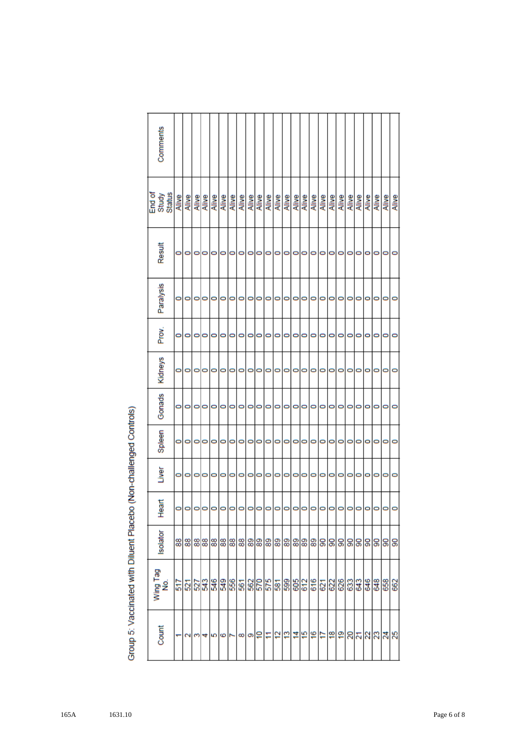| Comments                  |       |         |    |    |     |                                                                                                                                                                                                                                          |         |   |   |    |   |   |    |   |   |   |   |   |   |   |   |           |   |                |   |
|---------------------------|-------|---------|----|----|-----|------------------------------------------------------------------------------------------------------------------------------------------------------------------------------------------------------------------------------------------|---------|---|---|----|---|---|----|---|---|---|---|---|---|---|---|-----------|---|----------------|---|
| End of<br>Study<br>Status | Alive |         |    |    |     | <u>।<br/>अधिकारिया कार्य कार्य कार्य कार्य कार्य कार्य कार्य कार्य कार्य कार्य कार्य कार्य कार्य कार्य कार्य कार्य कार्</u><br>अधिकारिया कार्य कार्य कार्य कार्य कार्य कार्य कार्य कार्य कार्य कार्य कार्य कार्य कार्य कार्य कार्य कार्य |         |   |   |    |   |   |    |   |   |   |   |   |   |   |   |           |   | Alive<br>Alive |   |
| Result                    | 0     | 0       | 0  | 0  | 0   | 0                                                                                                                                                                                                                                        | 0       | 0 | 0 | 0  | 0 | 0 | 0  | 0 | 0 | 0 | 0 | 0 | 0 | 0 | 0 | 0         | 0 | 0              | o |
| Paralysis                 |       |         |    |    |     |                                                                                                                                                                                                                                          |         |   |   | 0  | 0 | 0 |    | 0 |   |   |   |   |   | 0 | 0 |           |   |                |   |
| Prov.                     |       |         | o  | 0  | 0   | 0                                                                                                                                                                                                                                        | 0       | 0 | 0 | 0  | 0 | 0 | 0  | 0 | 0 | 0 | 0 | 0 | 0 | 0 | 0 | 0         | 0 | 0              | c |
| <b>Kidneys</b>            |       |         |    | 0  | 0   |                                                                                                                                                                                                                                          | 0       | O | 0 | O  | 0 | 0 | 0  | 0 | 0 | 0 | 0 | 0 | 0 | 0 | 0 | 0         | 0 |                |   |
| Gonads                    |       | 0       |    |    | 0   |                                                                                                                                                                                                                                          | 0       | o | 0 | 0  | 0 | 0 | 0  | O | 0 | 0 | 0 | 0 | 0 | 0 | 0 | 0         | 0 |                |   |
| Spleen                    | 0     | 0       | 0  | 0  | 0   | 0                                                                                                                                                                                                                                        | 0       | 0 | 0 | 0  | 0 | 0 | 0  | 0 | 0 | 0 | 0 | 0 | 0 | 0 | 0 | 0         | 0 | 0              | 0 |
| Liver                     | 0     |         | 0  | 0  |     | 0                                                                                                                                                                                                                                        | 0       | 0 | 0 | 0  | 0 | 0 | 0  | 0 | 0 | 0 | 0 | 0 | 0 | 0 | 0 | 0         | 0 | 0              | 0 |
| Heart                     | 0     | $\circ$ |    | 00 | 0   | $\circ$                                                                                                                                                                                                                                  | $\circ$ | 0 |   | 00 | 0 |   | 00 | O | 0 | 0 | 0 |   | 0 | O | 0 | $\bullet$ | 0 | $\circ$        |   |
| Isolator                  |       |         |    |    |     |                                                                                                                                                                                                                                          |         |   |   |    |   |   |    |   |   |   |   |   |   |   |   |           |   |                |   |
| Wing Tag<br>No.           |       |         |    |    |     | '은'의' 이 사람들의 사람들의 이 사람들의 사람들의 사람들의 사람들의                                                                                                                                                                                                  |         |   |   |    |   |   |    |   |   |   |   |   |   |   |   |           |   |                |   |
| Count                     |       |         | m. |    | 415 |                                                                                                                                                                                                                                          |         |   |   |    |   |   |    |   |   |   |   |   |   |   |   |           |   |                |   |
|                           |       |         |    |    |     |                                                                                                                                                                                                                                          |         |   |   |    |   |   |    |   |   |   |   |   |   |   |   |           |   |                |   |

Group 5: Vaccinated with Diluent Placebo (Non-challenged Controls)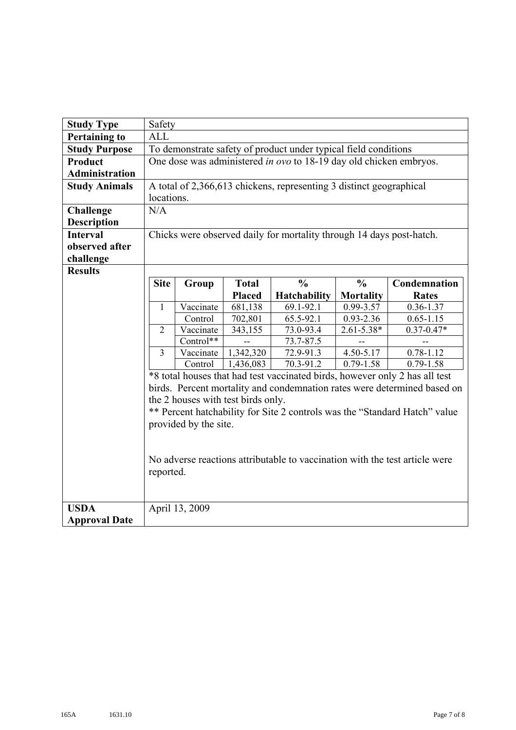| <b>Study Type</b>     | Safety                                                                                                                                                  |                                    |               |                                                                      |                  |                                                                             |  |  |  |  |  |
|-----------------------|---------------------------------------------------------------------------------------------------------------------------------------------------------|------------------------------------|---------------|----------------------------------------------------------------------|------------------|-----------------------------------------------------------------------------|--|--|--|--|--|
| <b>Pertaining to</b>  | <b>ALL</b>                                                                                                                                              |                                    |               |                                                                      |                  |                                                                             |  |  |  |  |  |
| <b>Study Purpose</b>  |                                                                                                                                                         |                                    |               | To demonstrate safety of product under typical field conditions      |                  |                                                                             |  |  |  |  |  |
| Product               |                                                                                                                                                         |                                    |               | One dose was administered in ovo to 18-19 day old chicken embryos.   |                  |                                                                             |  |  |  |  |  |
| <b>Administration</b> |                                                                                                                                                         |                                    |               |                                                                      |                  |                                                                             |  |  |  |  |  |
| <b>Study Animals</b>  |                                                                                                                                                         |                                    |               | A total of 2,366,613 chickens, representing 3 distinct geographical  |                  |                                                                             |  |  |  |  |  |
|                       | locations.                                                                                                                                              |                                    |               |                                                                      |                  |                                                                             |  |  |  |  |  |
| <b>Challenge</b>      | N/A                                                                                                                                                     |                                    |               |                                                                      |                  |                                                                             |  |  |  |  |  |
| <b>Description</b>    |                                                                                                                                                         |                                    |               |                                                                      |                  |                                                                             |  |  |  |  |  |
| <b>Interval</b>       |                                                                                                                                                         |                                    |               | Chicks were observed daily for mortality through 14 days post-hatch. |                  |                                                                             |  |  |  |  |  |
| observed after        |                                                                                                                                                         |                                    |               |                                                                      |                  |                                                                             |  |  |  |  |  |
| challenge             |                                                                                                                                                         |                                    |               |                                                                      |                  |                                                                             |  |  |  |  |  |
| <b>Results</b>        |                                                                                                                                                         |                                    |               |                                                                      |                  |                                                                             |  |  |  |  |  |
|                       | <b>Site</b>                                                                                                                                             | Group                              | <b>Total</b>  | $\frac{0}{0}$                                                        | $\frac{0}{0}$    | Condemnation                                                                |  |  |  |  |  |
|                       |                                                                                                                                                         |                                    | <b>Placed</b> | <b>Hatchability</b>                                                  | <b>Mortality</b> | <b>Rates</b>                                                                |  |  |  |  |  |
|                       | $\mathbf{1}$                                                                                                                                            | Vaccinate                          | 681,138       | 69.1-92.1                                                            | 0.99-3.57        | $0.36 - 1.37$                                                               |  |  |  |  |  |
|                       |                                                                                                                                                         | Control                            | 702,801       | $\overline{6}$ 5.5-92.1                                              | $0.93 - 2.36$    | $0.65 - 1.15$                                                               |  |  |  |  |  |
|                       | $\overline{2}$                                                                                                                                          | Vaccinate                          | 343,155       | 73.0-93.4                                                            | $2.61 - 5.38*$   | $0.37 - 0.47*$                                                              |  |  |  |  |  |
|                       |                                                                                                                                                         | Control**                          |               | 73.7-87.5                                                            |                  | $-$                                                                         |  |  |  |  |  |
|                       | $\overline{3}$                                                                                                                                          | Vaccinate                          | 1,342,320     | 72.9-91.3                                                            | $4.50 - 5.17$    | $0.78 - 1.12$                                                               |  |  |  |  |  |
|                       |                                                                                                                                                         | Control                            | 1,436,083     | 70.3-91.2                                                            | $0.79 - 1.58$    | $0.79 - 1.58$                                                               |  |  |  |  |  |
|                       | *8 total houses that had test vaccinated birds, however only 2 has all test<br>birds. Percent mortality and condemnation rates were determined based on |                                    |               |                                                                      |                  |                                                                             |  |  |  |  |  |
|                       |                                                                                                                                                         |                                    |               |                                                                      |                  |                                                                             |  |  |  |  |  |
|                       |                                                                                                                                                         | the 2 houses with test birds only. |               |                                                                      |                  |                                                                             |  |  |  |  |  |
|                       |                                                                                                                                                         |                                    |               |                                                                      |                  | ** Percent hatchability for Site 2 controls was the "Standard Hatch" value  |  |  |  |  |  |
|                       |                                                                                                                                                         | provided by the site.              |               |                                                                      |                  |                                                                             |  |  |  |  |  |
|                       |                                                                                                                                                         |                                    |               |                                                                      |                  |                                                                             |  |  |  |  |  |
|                       |                                                                                                                                                         |                                    |               |                                                                      |                  |                                                                             |  |  |  |  |  |
|                       |                                                                                                                                                         |                                    |               |                                                                      |                  | No adverse reactions attributable to vaccination with the test article were |  |  |  |  |  |
|                       | reported.                                                                                                                                               |                                    |               |                                                                      |                  |                                                                             |  |  |  |  |  |
|                       |                                                                                                                                                         |                                    |               |                                                                      |                  |                                                                             |  |  |  |  |  |
|                       |                                                                                                                                                         |                                    |               |                                                                      |                  |                                                                             |  |  |  |  |  |
| <b>USDA</b>           |                                                                                                                                                         | April 13, 2009                     |               |                                                                      |                  |                                                                             |  |  |  |  |  |
| <b>Approval Date</b>  |                                                                                                                                                         |                                    |               |                                                                      |                  |                                                                             |  |  |  |  |  |